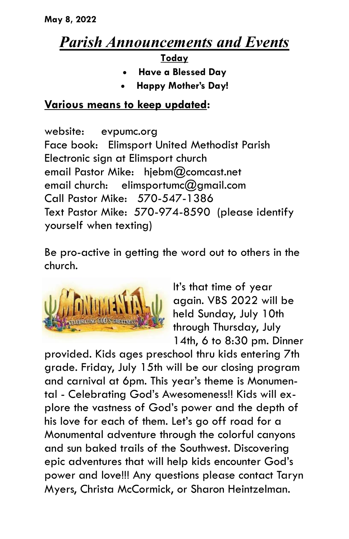# *Parish Announcements and Events*

## **Today**

- **Have a Blessed Day**
- **Happy Mother's Day!**

### **Various means to keep updated:**

website: evpumc.org Face book: Elimsport United Methodist Parish Electronic sign at Elimsport church email Pastor Mike: hjebm@comcast.net email church: elimsportumc $@$ amail.com Call Pastor Mike: 570-547-1386 Text Pastor Mike: 570-974-8590 (please identify yourself when texting)

Be pro-active in getting the word out to others in the church.



It's that time of year again. VBS 2022 will be held Sunday, July 10th through Thursday, July 14th, 6 to 8:30 pm. Dinner

provided. Kids ages preschool thru kids entering 7th grade. Friday, July 15th will be our closing program and carnival at 6pm. This year's theme is Monumental - Celebrating God's Awesomeness!! Kids will explore the vastness of God's power and the depth of his love for each of them. Let's go off road for a Monumental adventure through the colorful canyons and sun baked trails of the Southwest. Discovering epic adventures that will help kids encounter God's power and love!!! Any questions please contact Taryn Myers, Christa McCormick, or Sharon Heintzelman.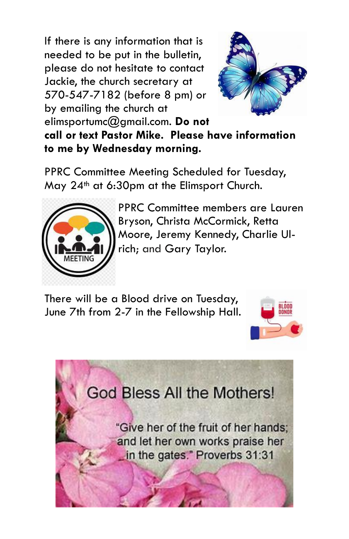If there is any information that is needed to be put in the bulletin, please do not hesitate to contact Jackie, the church secretary at 570-547-7182 (before 8 pm) or by emailing the church at elimsportumc@gmail.com. **Do not** 



**call or text Pastor Mike. Please have information to me by Wednesday morning.**

PPRC Committee Meeting Scheduled for Tuesday, May 24th at 6:30pm at the Elimsport Church.



PPRC Committee members are Lauren Bryson, Christa McCormick, Retta Moore, Jeremy Kennedy, Charlie Ulrich; and Gary Taylor.

There will be a Blood drive on Tuesday, June 7th from 2-7 in the Fellowship Hall.



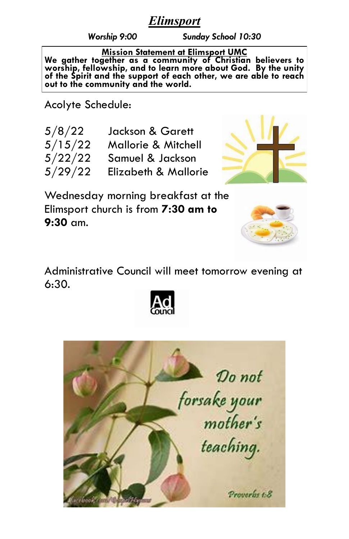## *Elimsport*

*Worship 9:00 Sunday School 10:30*

**Mission Statement at Elimsport UMC**

**We gather together as a community of Christian believers to worship, fellowship, and to learn more about God. By the unity of the Spirit and the support of each other, we are able to reach out to the community and the world.**

Acolyte Schedule:

| 5/8/22  | <b>Jackson &amp; Garett</b>    |
|---------|--------------------------------|
| 5/15/22 | <b>Mallorie &amp; Mitchell</b> |
| 5/22/22 | Samuel & Jackson               |
| 5/29/22 | Elizabeth & Mallorie           |



Wednesday morning breakfast at the Elimsport church is from **7:30 am to 9:30** am.



Administrative Council will meet tomorrow evening at 6:30.